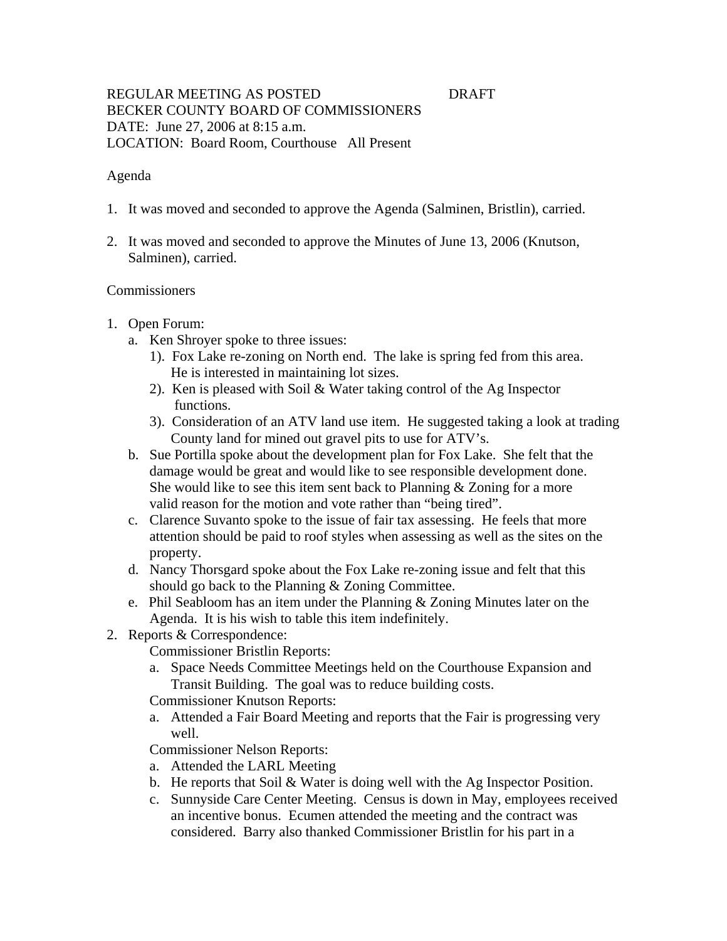## REGULAR MEETING AS POSTED **DRAFT** BECKER COUNTY BOARD OF COMMISSIONERS DATE: June 27, 2006 at 8:15 a.m. LOCATION: Board Room, Courthouse All Present

## Agenda

- 1. It was moved and seconded to approve the Agenda (Salminen, Bristlin), carried.
- 2. It was moved and seconded to approve the Minutes of June 13, 2006 (Knutson, Salminen), carried.

## Commissioners

- 1. Open Forum:
	- a. Ken Shroyer spoke to three issues:
		- 1). Fox Lake re-zoning on North end. The lake is spring fed from this area. He is interested in maintaining lot sizes.
		- 2). Ken is pleased with Soil & Water taking control of the Ag Inspector functions.
		- 3). Consideration of an ATV land use item. He suggested taking a look at trading County land for mined out gravel pits to use for ATV's.
	- b. Sue Portilla spoke about the development plan for Fox Lake. She felt that the damage would be great and would like to see responsible development done. She would like to see this item sent back to Planning  $&$  Zoning for a more valid reason for the motion and vote rather than "being tired".
	- c. Clarence Suvanto spoke to the issue of fair tax assessing. He feels that more attention should be paid to roof styles when assessing as well as the sites on the property.
	- d. Nancy Thorsgard spoke about the Fox Lake re-zoning issue and felt that this should go back to the Planning & Zoning Committee.
	- e. Phil Seabloom has an item under the Planning & Zoning Minutes later on the Agenda. It is his wish to table this item indefinitely.
- 2. Reports & Correspondence:

Commissioner Bristlin Reports:

a. Space Needs Committee Meetings held on the Courthouse Expansion and Transit Building. The goal was to reduce building costs.

Commissioner Knutson Reports:

a. Attended a Fair Board Meeting and reports that the Fair is progressing very well.

Commissioner Nelson Reports:

- a. Attended the LARL Meeting
- b. He reports that Soil & Water is doing well with the Ag Inspector Position.
- c. Sunnyside Care Center Meeting. Census is down in May, employees received an incentive bonus. Ecumen attended the meeting and the contract was considered. Barry also thanked Commissioner Bristlin for his part in a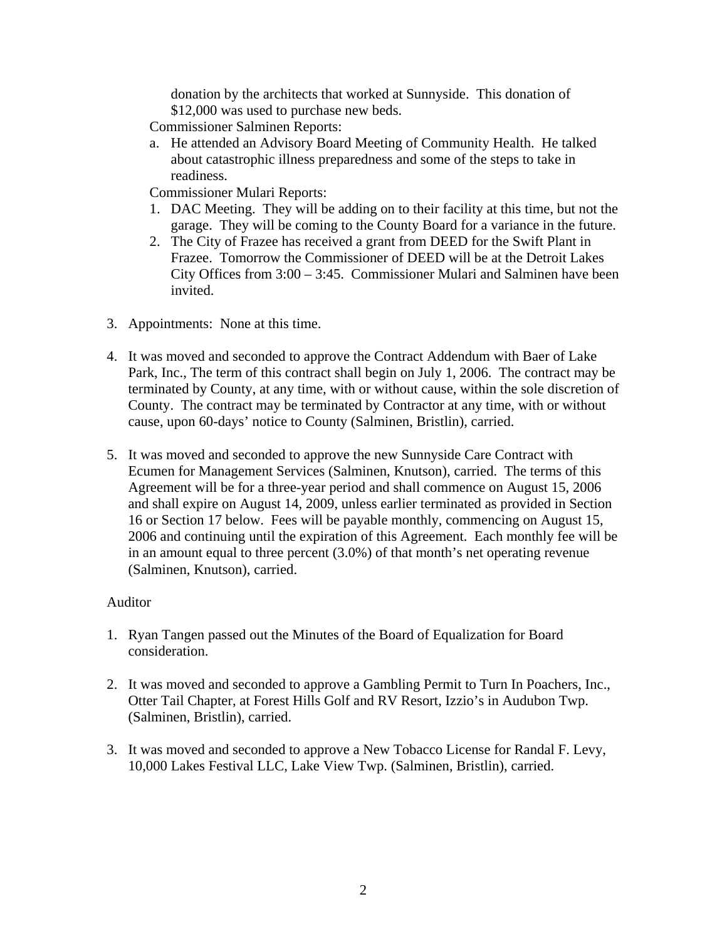donation by the architects that worked at Sunnyside. This donation of \$12,000 was used to purchase new beds.

Commissioner Salminen Reports:

a. He attended an Advisory Board Meeting of Community Health. He talked about catastrophic illness preparedness and some of the steps to take in readiness.

Commissioner Mulari Reports:

- 1. DAC Meeting. They will be adding on to their facility at this time, but not the garage. They will be coming to the County Board for a variance in the future.
- 2. The City of Frazee has received a grant from DEED for the Swift Plant in Frazee. Tomorrow the Commissioner of DEED will be at the Detroit Lakes City Offices from 3:00 – 3:45. Commissioner Mulari and Salminen have been invited.
- 3. Appointments: None at this time.
- 4. It was moved and seconded to approve the Contract Addendum with Baer of Lake Park, Inc., The term of this contract shall begin on July 1, 2006. The contract may be terminated by County, at any time, with or without cause, within the sole discretion of County. The contract may be terminated by Contractor at any time, with or without cause, upon 60-days' notice to County (Salminen, Bristlin), carried.
- 5. It was moved and seconded to approve the new Sunnyside Care Contract with Ecumen for Management Services (Salminen, Knutson), carried. The terms of this Agreement will be for a three-year period and shall commence on August 15, 2006 and shall expire on August 14, 2009, unless earlier terminated as provided in Section 16 or Section 17 below. Fees will be payable monthly, commencing on August 15, 2006 and continuing until the expiration of this Agreement. Each monthly fee will be in an amount equal to three percent (3.0%) of that month's net operating revenue (Salminen, Knutson), carried.

## Auditor

- 1. Ryan Tangen passed out the Minutes of the Board of Equalization for Board consideration.
- 2. It was moved and seconded to approve a Gambling Permit to Turn In Poachers, Inc., Otter Tail Chapter, at Forest Hills Golf and RV Resort, Izzio's in Audubon Twp. (Salminen, Bristlin), carried.
- 3. It was moved and seconded to approve a New Tobacco License for Randal F. Levy, 10,000 Lakes Festival LLC, Lake View Twp. (Salminen, Bristlin), carried.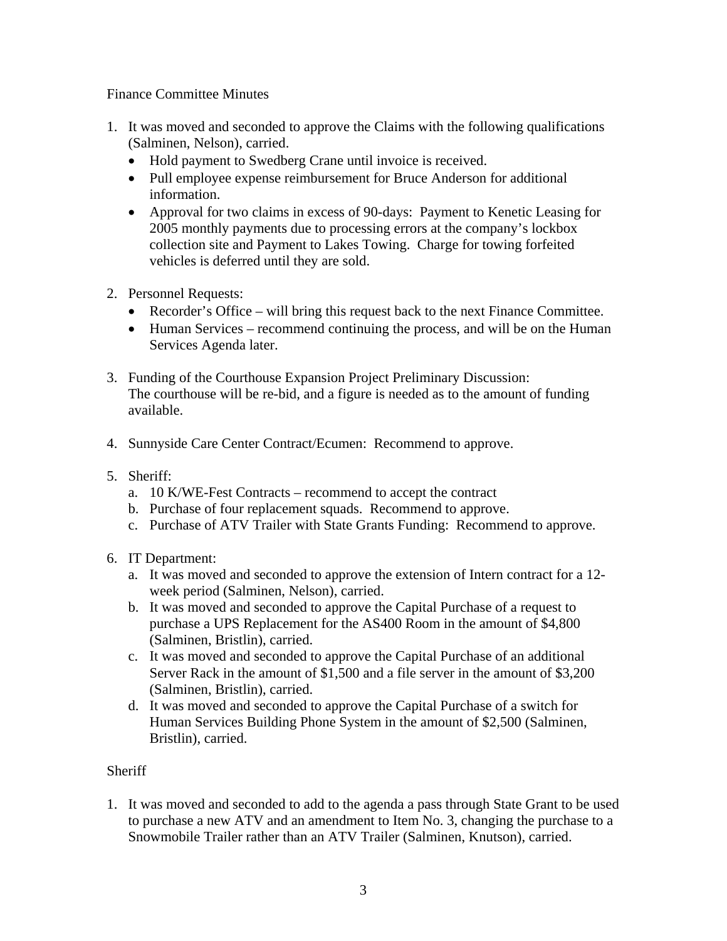Finance Committee Minutes

- 1. It was moved and seconded to approve the Claims with the following qualifications (Salminen, Nelson), carried.
	- Hold payment to Swedberg Crane until invoice is received.
	- Pull employee expense reimbursement for Bruce Anderson for additional information.
	- Approval for two claims in excess of 90-days: Payment to Kenetic Leasing for 2005 monthly payments due to processing errors at the company's lockbox collection site and Payment to Lakes Towing. Charge for towing forfeited vehicles is deferred until they are sold.
- 2. Personnel Requests:
	- Recorder's Office will bring this request back to the next Finance Committee.
	- Human Services recommend continuing the process, and will be on the Human Services Agenda later.
- 3. Funding of the Courthouse Expansion Project Preliminary Discussion: The courthouse will be re-bid, and a figure is needed as to the amount of funding available.
- 4. Sunnyside Care Center Contract/Ecumen: Recommend to approve.
- 5. Sheriff:
	- a. 10 K/WE-Fest Contracts recommend to accept the contract
	- b. Purchase of four replacement squads. Recommend to approve.
	- c. Purchase of ATV Trailer with State Grants Funding: Recommend to approve.
- 6. IT Department:
	- a. It was moved and seconded to approve the extension of Intern contract for a 12 week period (Salminen, Nelson), carried.
	- b. It was moved and seconded to approve the Capital Purchase of a request to purchase a UPS Replacement for the AS400 Room in the amount of \$4,800 (Salminen, Bristlin), carried.
	- c. It was moved and seconded to approve the Capital Purchase of an additional Server Rack in the amount of \$1,500 and a file server in the amount of \$3,200 (Salminen, Bristlin), carried.
	- d. It was moved and seconded to approve the Capital Purchase of a switch for Human Services Building Phone System in the amount of \$2,500 (Salminen, Bristlin), carried.

# **Sheriff**

1. It was moved and seconded to add to the agenda a pass through State Grant to be used to purchase a new ATV and an amendment to Item No. 3, changing the purchase to a Snowmobile Trailer rather than an ATV Trailer (Salminen, Knutson), carried.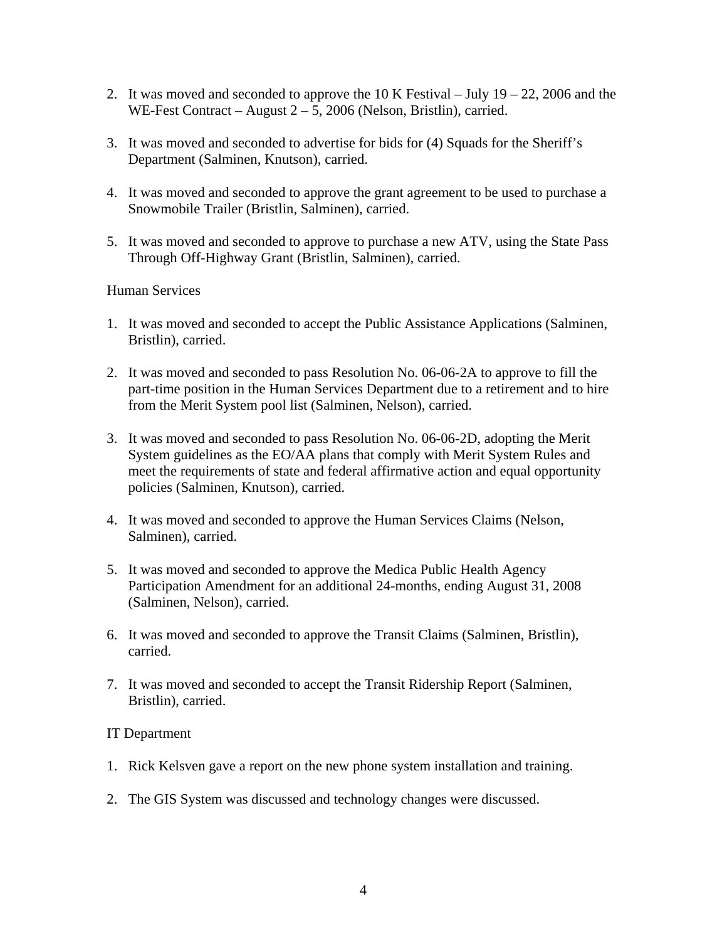- 2. It was moved and seconded to approve the 10 K Festival July 19 22, 2006 and the WE-Fest Contract – August  $2 - 5$ , 2006 (Nelson, Bristlin), carried.
- 3. It was moved and seconded to advertise for bids for (4) Squads for the Sheriff's Department (Salminen, Knutson), carried.
- 4. It was moved and seconded to approve the grant agreement to be used to purchase a Snowmobile Trailer (Bristlin, Salminen), carried.
- 5. It was moved and seconded to approve to purchase a new ATV, using the State Pass Through Off-Highway Grant (Bristlin, Salminen), carried.

# Human Services

- 1. It was moved and seconded to accept the Public Assistance Applications (Salminen, Bristlin), carried.
- 2. It was moved and seconded to pass Resolution No. 06-06-2A to approve to fill the part-time position in the Human Services Department due to a retirement and to hire from the Merit System pool list (Salminen, Nelson), carried.
- 3. It was moved and seconded to pass Resolution No. 06-06-2D, adopting the Merit System guidelines as the EO/AA plans that comply with Merit System Rules and meet the requirements of state and federal affirmative action and equal opportunity policies (Salminen, Knutson), carried.
- 4. It was moved and seconded to approve the Human Services Claims (Nelson, Salminen), carried.
- 5. It was moved and seconded to approve the Medica Public Health Agency Participation Amendment for an additional 24-months, ending August 31, 2008 (Salminen, Nelson), carried.
- 6. It was moved and seconded to approve the Transit Claims (Salminen, Bristlin), carried.
- 7. It was moved and seconded to accept the Transit Ridership Report (Salminen, Bristlin), carried.

## IT Department

- 1. Rick Kelsven gave a report on the new phone system installation and training.
- 2. The GIS System was discussed and technology changes were discussed.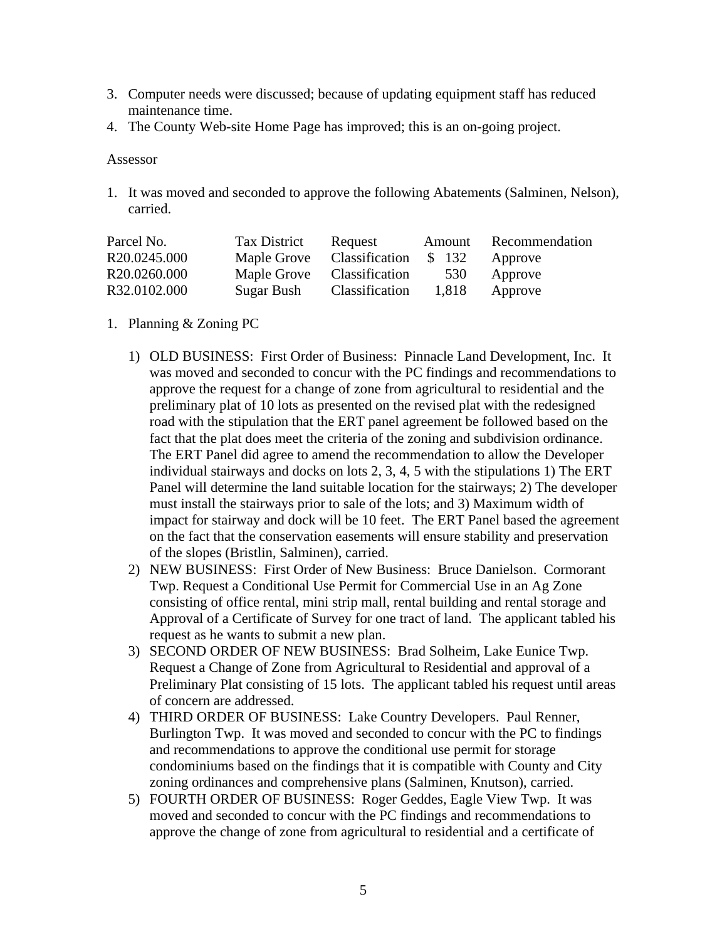- 3. Computer needs were discussed; because of updating equipment staff has reduced maintenance time.
- 4. The County Web-site Home Page has improved; this is an on-going project.

#### Assessor

1. It was moved and seconded to approve the following Abatements (Salminen, Nelson), carried.

| Parcel No.   | <b>Tax District</b> | Request        | Amount | Recommendation |
|--------------|---------------------|----------------|--------|----------------|
| R20.0245.000 | Maple Grove         | Classification | \$ 132 | Approve        |
| R20.0260.000 | Maple Grove         | Classification | 530    | Approve        |
| R32.0102.000 | Sugar Bush          | Classification | 1,818  | Approve        |

## 1. Planning & Zoning PC

- 1) OLD BUSINESS: First Order of Business: Pinnacle Land Development, Inc. It was moved and seconded to concur with the PC findings and recommendations to approve the request for a change of zone from agricultural to residential and the preliminary plat of 10 lots as presented on the revised plat with the redesigned road with the stipulation that the ERT panel agreement be followed based on the fact that the plat does meet the criteria of the zoning and subdivision ordinance. The ERT Panel did agree to amend the recommendation to allow the Developer individual stairways and docks on lots 2, 3, 4, 5 with the stipulations 1) The ERT Panel will determine the land suitable location for the stairways; 2) The developer must install the stairways prior to sale of the lots; and 3) Maximum width of impact for stairway and dock will be 10 feet. The ERT Panel based the agreement on the fact that the conservation easements will ensure stability and preservation of the slopes (Bristlin, Salminen), carried.
- 2) NEW BUSINESS: First Order of New Business: Bruce Danielson. Cormorant Twp. Request a Conditional Use Permit for Commercial Use in an Ag Zone consisting of office rental, mini strip mall, rental building and rental storage and Approval of a Certificate of Survey for one tract of land. The applicant tabled his request as he wants to submit a new plan.
- 3) SECOND ORDER OF NEW BUSINESS: Brad Solheim, Lake Eunice Twp. Request a Change of Zone from Agricultural to Residential and approval of a Preliminary Plat consisting of 15 lots. The applicant tabled his request until areas of concern are addressed.
- 4) THIRD ORDER OF BUSINESS: Lake Country Developers. Paul Renner, Burlington Twp. It was moved and seconded to concur with the PC to findings and recommendations to approve the conditional use permit for storage condominiums based on the findings that it is compatible with County and City zoning ordinances and comprehensive plans (Salminen, Knutson), carried.
- 5) FOURTH ORDER OF BUSINESS: Roger Geddes, Eagle View Twp. It was moved and seconded to concur with the PC findings and recommendations to approve the change of zone from agricultural to residential and a certificate of